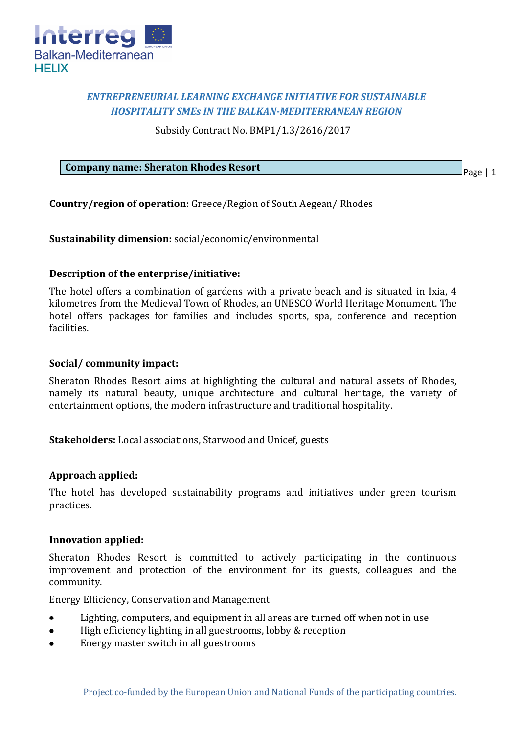

# *ENTREPRENEURIAL LEARNING EXCHANGE INITIATIVE FOR SUSTAINABLE HOSPITALITY SMEs IN THE BALKAN-MEDITERRANEAN REGION*

Subsidy Contract No. BMP1/1.3/2616/2017

#### **Company name: Sheraton Rhodes Resort**

Page | 1

**Country/region of operation:** Greece/Region of South Aegean/ Rhodes

**Sustainability dimension:** social/economic/environmental

## **Description of the enterprise/initiative:**

The hotel offers a combination of gardens with a private beach and is situated in Ixia, 4 kilometres from the Medieval Town of Rhodes, an UNESCO World Heritage Monument. The hotel offers packages for families and includes sports, spa, conference and reception facilities.

## **Social/ community impact:**

Sheraton Rhodes Resort aims at highlighting the cultural and natural assets of Rhodes, namely its natural beauty, unique architecture and cultural heritage, the variety of entertainment options, the modern infrastructure and traditional hospitality.

**Stakeholders:** Local associations, Starwood and Unicef, guests

#### **Approach applied:**

The hotel has developed sustainability programs and initiatives under green tourism practices.

#### **Innovation applied:**

Sheraton Rhodes Resort is committed to actively participating in the continuous improvement and protection of the environment for its guests, colleagues and the community.

Energy Efficiency, Conservation and Management

- Lighting, computers, and equipment in all areas are turned off when not in use
- High efficiency lighting in all guestrooms, lobby & reception
- Energy master switch in all guestrooms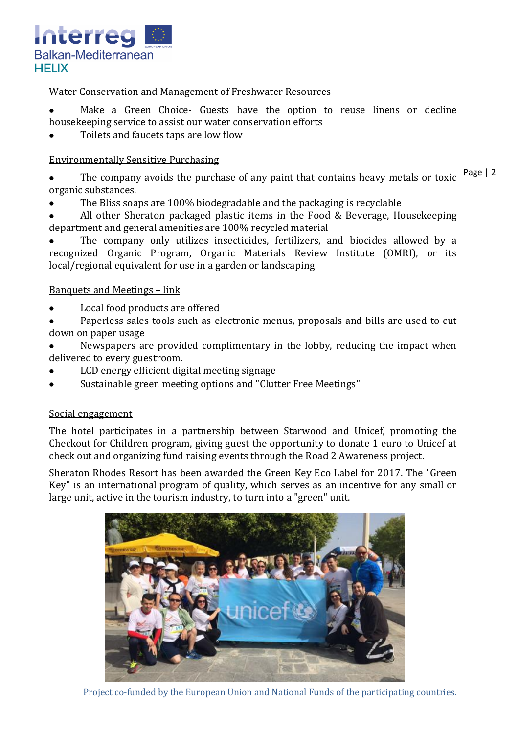

## Water Conservation and Management of Freshwater Resources

Make a Green Choice- Guests have the option to reuse linens or decline housekeeping service to assist our water conservation efforts

Toilets and faucets taps are low flow

## Environmentally Sensitive Purchasing

The company avoids the purchase of any paint that contains heavy metals or toxic  $\frac{Page}{}$  | 2 organic substances.

The Bliss soaps are 100% biodegradable and the packaging is recyclable

All other Sheraton packaged plastic items in the Food & Beverage, Housekeeping department and general amenities are 100% recycled material

The company only utilizes insecticides, fertilizers, and biocides allowed by a recognized Organic Program, Organic Materials Review Institute (OMRI), or its local/regional equivalent for use in a garden or landscaping

## Banquets and Meetings – link

- Local food products are offered
- Paperless sales tools such as electronic menus, proposals and bills are used to cut down on paper usage
- Newspapers are provided complimentary in the lobby, reducing the impact when delivered to every guestroom.
- LCD energy efficient digital meeting signage
- Sustainable [green meeting](http://www.sheratonrhodesresort.gr/assets/u/greenmeetings_short_web.pdf) options and "Clutter Free Meetings"

#### Social engagement

The hotel participates in a partnership between Starwood and Unicef, promoting the Checkout for Children program, giving guest the opportunity to donate 1 euro to Unicef at check out and organizing fund raising events through the Road 2 Awareness project.

Sheraton Rhodes Resort has been awarded the Green Key Eco Label for 2017. The "Green Key" is an international program of quality, which serves as an incentive for any small or large unit, active in the tourism industry, to turn into a "green" unit.



Project co-funded by the European Union and National Funds of the participating countries.